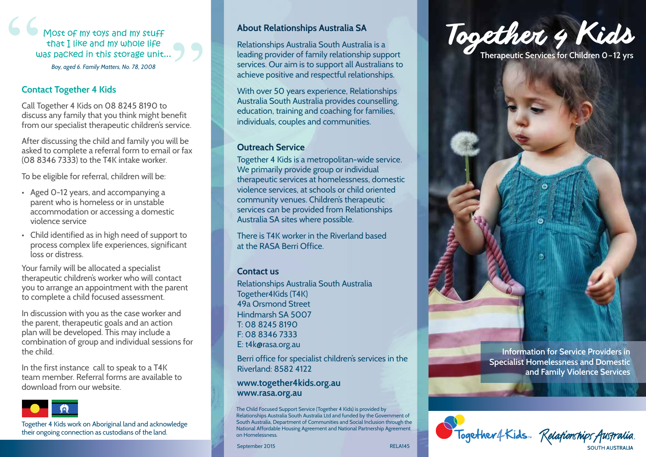Most of my toys and my stuff that I like and my whole life was packed in this storage unit... *Boy, aged 6. Family Matters, No. 78, 2008*

## **Contact Together 4 Kids**

Call Together 4 Kids on 08 8245 8190 to discuss any family that you think might benefit from our specialist therapeutic children's service.

After discussing the child and family you will be asked to complete a referral form to email or fax (08 8346 7333) to the T4K intake worker.

To be eligible for referral, children will be:

- Aged 0-12 years, and accompanying a parent who is homeless or in unstable accommodation or accessing a domestic violence service
- Child identified as in high need of support to process complex life experiences, significant loss or distress.

Your family will be allocated a specialist therapeutic children's worker who will contact you to arrange an appointment with the parent to complete a child focused assessment.

In discussion with you as the case worker and the parent, therapeutic goals and an action plan will be developed. This may include a combination of group and individual sessions for the child.

In the first instance call to speak to a T4K team member. Referral forms are available to download from our website.



Together 4 Kids work on Aboriginal land and acknowledge their ongoing connection as custodians of the land.

# **About Relationships Australia SA**

Relationships Australia South Australia is a leading provider of family relationship support services. Our aim is to support all Australians to achieve positive and respectful relationships.

With over 50 years experience, Relationships Australia South Australia provides counselling, education, training and coaching for families, individuals, couples and communities.

## **Outreach Service**

Together 4 Kids is a metropolitan-wide service. We primarily provide group or individual therapeutic services at homelessness, domestic violence services, at schools or child oriented community venues. Children's therapeutic services can be provided from Relationships Australia SA sites where possible.

There is T4K worker in the Riverland based at the RASA Berri Office.

## **Contact us**

Relationships Australia South Australia Together4Kids (T4K) 49a Orsmond Street Hindmarsh SA 5007 T: 08 8245 8190 F: 08 8346 7333 E: t4k@rasa.org.au

Berri office for specialist children's services in the Riverland: 8582 4122

#### **www.together4kids.org.au www.rasa.org.au**

The Child Focused Support Service (Together 4 Kids) is provided by Relationships Australia South Australia Ltd and funded by the Government of South Australia, Department of Communities and Social Inclusion through the National Affordable Housing Agreement and National Partnership Agreement on Homelessness.

RELA145

September 2015



**Information for Service Providers in Specialist Homelessness and Domestic and Family Violence Services**